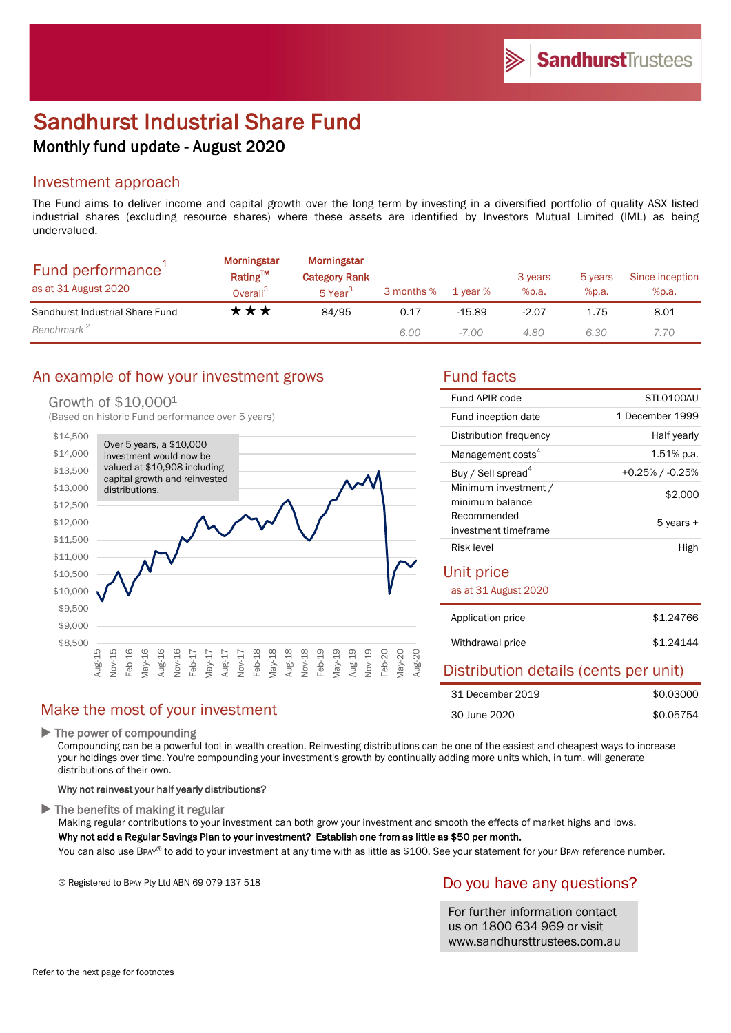# Sandhurst Industrial Share Fund Monthly fund update - August 2020

### Investment approach

The Fund aims to deliver income and capital growth over the long term by investing in a diversified portfolio of quality ASX listed industrial shares (excluding resource shares) where these assets are identified by Investors Mutual Limited (IML) as being undervalued.

| Fund performance <sup>+</sup><br>as at 31 August 2020 | <b>Morningstar</b><br>Rating™<br>Overall <sup>3</sup> | Morningstar<br><b>Category Rank</b><br>5 Year <sup>3</sup> | 3 months % | 1 year % | 3 years<br>%p.a. | 5 years<br>%p.a. | Since inception<br>%p.a. |
|-------------------------------------------------------|-------------------------------------------------------|------------------------------------------------------------|------------|----------|------------------|------------------|--------------------------|
| Sandhurst Industrial Share Fund                       | T ★ ★                                                 | 84/95                                                      | 0.17       | $-15.89$ | $-2.07$          | 1.75             | 8.01                     |
| Benchmark <sup>2</sup>                                |                                                       |                                                            | 6.00       | $-7.00$  | 4.80             | 6.30             | 7.70                     |

### An example of how your investment grows Fund facts

### Growth of \$10,0001

(Based on historic Fund performance over 5 years)



| Fund APIR code                 | STLO100AU       |
|--------------------------------|-----------------|
| Fund inception date            | 1 December 1999 |
| Distribution frequency         | Half yearly     |
| Management costs <sup>4</sup>  | $1.51\%$ p.a.   |
| Buy / Sell spread <sup>4</sup> | +0.25% / -0.25% |
| Minimum investment /           | \$2,000         |
| minimum balance                |                 |
| Recommended                    | 5 years +       |
| investment timeframe           |                 |
| Risk level                     | High            |
|                                |                 |

### Unit price

as at 31 August 2020

| Application price | \$1,24766 |
|-------------------|-----------|
| Withdrawal price  | \$1,24144 |

### Distribution details (cents per unit)

| 31 December 2019 | \$0.03000 |
|------------------|-----------|
| 30 June 2020     | \$0.05754 |

### Make the most of your investment

▶ The power of compounding

Compounding can be a powerful tool in wealth creation. Reinvesting distributions can be one of the easiest and cheapest ways to increase your holdings over time. You're compounding your investment's growth by continually adding more units which, in turn, will generate distributions of their own.

#### Why not reinvest your half yearly distributions?

 $\blacktriangleright$  The benefits of making it regular

Making regular contributions to your investment can both grow your investment and smooth the effects of market highs and lows.

#### Why not add a Regular Savings Plan to your investment? Establish one from as little as \$50 per month.

You can also use BPAY® to add to your investment at any time with as little as \$100. See your statement for your BPAY reference number.

® Registered to BPAY Pty Ltd ABN 69 079 137 518

### Do you have any questions?

For further information contact us on 1800 634 969 or visit www.sandhursttrustees.com.au